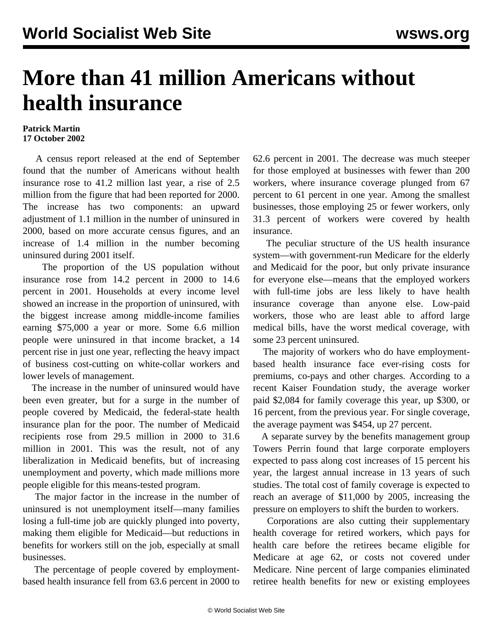## **More than 41 million Americans without health insurance**

## **Patrick Martin 17 October 2002**

 A census report released at the end of September found that the number of Americans without health insurance rose to 41.2 million last year, a rise of 2.5 million from the figure that had been reported for 2000. The increase has two components: an upward adjustment of 1.1 million in the number of uninsured in 2000, based on more accurate census figures, and an increase of 1.4 million in the number becoming uninsured during 2001 itself.

 The proportion of the US population without insurance rose from 14.2 percent in 2000 to 14.6 percent in 2001. Households at every income level showed an increase in the proportion of uninsured, with the biggest increase among middle-income families earning \$75,000 a year or more. Some 6.6 million people were uninsured in that income bracket, a 14 percent rise in just one year, reflecting the heavy impact of business cost-cutting on white-collar workers and lower levels of management.

 The increase in the number of uninsured would have been even greater, but for a surge in the number of people covered by Medicaid, the federal-state health insurance plan for the poor. The number of Medicaid recipients rose from 29.5 million in 2000 to 31.6 million in 2001. This was the result, not of any liberalization in Medicaid benefits, but of increasing unemployment and poverty, which made millions more people eligible for this means-tested program.

 The major factor in the increase in the number of uninsured is not unemployment itself—many families losing a full-time job are quickly plunged into poverty, making them eligible for Medicaid—but reductions in benefits for workers still on the job, especially at small businesses.

 The percentage of people covered by employmentbased health insurance fell from 63.6 percent in 2000 to 62.6 percent in 2001. The decrease was much steeper for those employed at businesses with fewer than 200 workers, where insurance coverage plunged from 67 percent to 61 percent in one year. Among the smallest businesses, those employing 25 or fewer workers, only 31.3 percent of workers were covered by health insurance.

 The peculiar structure of the US health insurance system—with government-run Medicare for the elderly and Medicaid for the poor, but only private insurance for everyone else—means that the employed workers with full-time jobs are less likely to have health insurance coverage than anyone else. Low-paid workers, those who are least able to afford large medical bills, have the worst medical coverage, with some 23 percent uninsured.

 The majority of workers who do have employmentbased health insurance face ever-rising costs for premiums, co-pays and other charges. According to a recent Kaiser Foundation study, the average worker paid \$2,084 for family coverage this year, up \$300, or 16 percent, from the previous year. For single coverage, the average payment was \$454, up 27 percent.

 A separate survey by the benefits management group Towers Perrin found that large corporate employers expected to pass along cost increases of 15 percent his year, the largest annual increase in 13 years of such studies. The total cost of family coverage is expected to reach an average of \$11,000 by 2005, increasing the pressure on employers to shift the burden to workers.

 Corporations are also cutting their supplementary health coverage for retired workers, which pays for health care before the retirees became eligible for Medicare at age 62, or costs not covered under Medicare. Nine percent of large companies eliminated retiree health benefits for new or existing employees